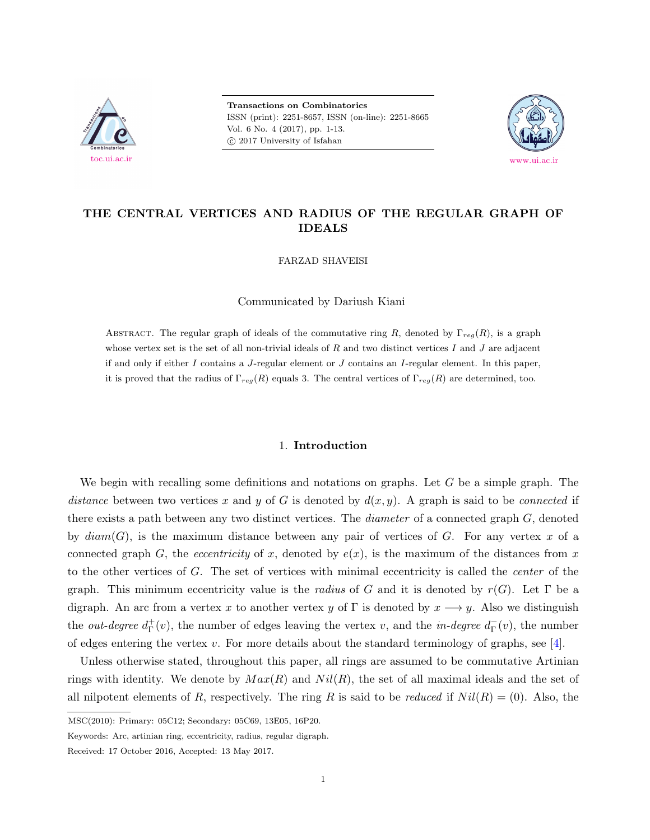

**Transactions on Combinatorics** ISSN (print): 2251-8657, ISSN (on-line): 2251-8665 Vol. 6 No. 4 (2017), pp. 1-13.  $\odot$  2017 University of Isfahan



# **THE CENTRAL VERTICES AND RADIUS OF THE REGULAR GRAPH OF IDEALS**

FARZAD SHAVEISI

Communicated by Dariush Kiani

ABSTRACT. The regular graph of ideals of the commutative ring *R*, denoted by  $\Gamma_{reg}(R)$ , is a graph whose vertex set is the set of all non-trivial ideals of *R* and two distinct vertices *I* and *J* are adjacent if and only if either *I* contains a *J*-regular element or *J* contains an *I*-regular element. In this paper, it is proved that the radius of Γ*reg*(*R*) equals 3. The central vertices of Γ*reg*(*R*) are determined, too.

## 1. **Introduction**

We begin with recalling some definitions and notations on graphs. Let *G* be a simple graph. The *distance* between two vertices x and y of G is denoted by  $d(x, y)$ . A graph is said to be *connected* if there exists a path between any two distinct vertices. The *diameter* of a connected graph *G*, denoted by *diam*(*G*), is the maximum distance between any pair of vertices of *G*. For any vertex *x* of a connected graph *G*, the *eccentricity* of *x*, denoted by  $e(x)$ , is the maximum of the distances from *x* to the other vertices of *G*. The set of vertices with minimal eccentricity is called the *center* of the graph. This minimum eccentricity value is the *radius* of *G* and it is denoted by  $r(G)$ . Let  $\Gamma$  be a digraph. An arc from a vertex *x* to another vertex *y* of  $\Gamma$  is denoted by  $x \rightarrow y$ . Also we distinguish the *out-degree*  $d_{\Gamma}^+$ Γ (*v*), the number of edges leaving the vertex *v*, and the *in-degree d −* Γ (*v*), the number of edges entering the vertex *v*. For more details about the standard terminology of graphs, see [\[4\]](#page-12-0).

Unless otherwise stated, throughout this paper, all rings are assumed to be commutative Artinian rings with identity. We denote by  $Max(R)$  and  $Nil(R)$ , the set of all maximal ideals and the set of all nilpotent elements of *R*, respectively. The ring *R* is said to be *reduced* if  $Nil(R) = (0)$ . Also, the

MSC(2010): Primary: 05C12; Secondary: 05C69, 13E05, 16P20.

Keywords: Arc, artinian ring, eccentricity, radius, regular digraph.

Received: 17 October 2016, Accepted: 13 May 2017.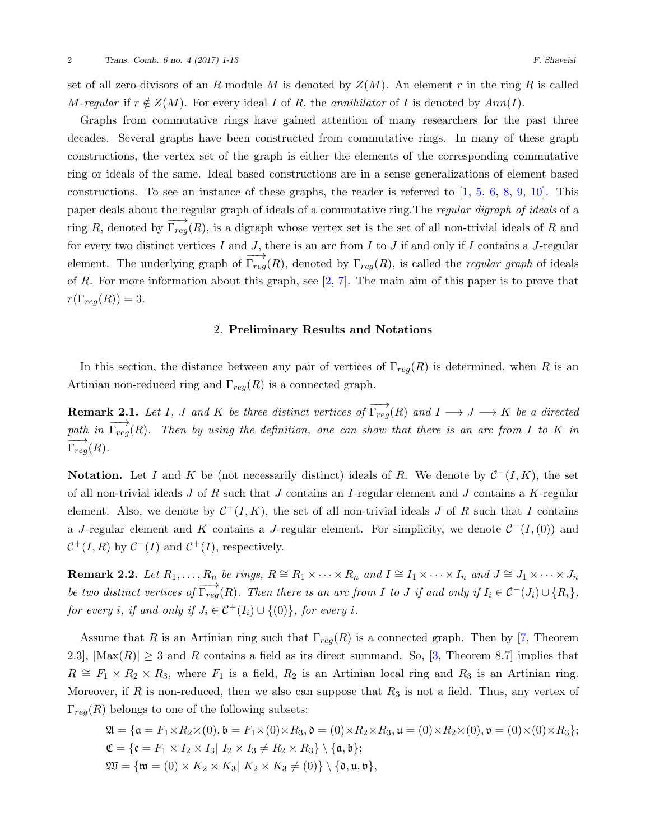set of all zero-divisors of an *R*-module *M* is denoted by  $Z(M)$ . An element *r* in the ring *R* is called *M-regular* if  $r \notin Z(M)$ . For every ideal *I* of *R*, the *annihilator* of *I* is denoted by  $Ann(I)$ .

Graphs from commutative rings have gained attention of many researchers for the past three decades. Several graphs have been constructed from commutative rings. In many of these graph constructions, the vertex set of the graph is either the elements of the corresponding commutative ring or ideals of the same. Ideal based constructions are in a sense generalizations of element based constructions.To see an instance of these graphs, the reader is referred to  $\left[1, 5, 6, 8, 9, 10\right]$  $\left[1, 5, 6, 8, 9, 10\right]$  $\left[1, 5, 6, 8, 9, 10\right]$  $\left[1, 5, 6, 8, 9, 10\right]$  $\left[1, 5, 6, 8, 9, 10\right]$  $\left[1, 5, 6, 8, 9, 10\right]$  $\left[1, 5, 6, 8, 9, 10\right]$  $\left[1, 5, 6, 8, 9, 10\right]$  $\left[1, 5, 6, 8, 9, 10\right]$  $\left[1, 5, 6, 8, 9, 10\right]$  $\left[1, 5, 6, 8, 9, 10\right]$ . This paper deals about the regular graph of ideals of a commutative ring.The *regular digraph of ideals* of a ring *R*, denoted by  $\overrightarrow{\Gamma_{reg}}(R)$ , is a digraph whose vertex set is the set of all non-trivial ideals of *R* and for every two distinct vertices *I* and *J*, there is an arc from *I* to *J* if and only if *I* contains a *J*-regular element. The underlying graph of  $\overrightarrow{\Gamma_{reg}}(R)$ , denoted by  $\Gamma_{reg}(R)$ , is called the *regular graph* of ideals of *R*. For more information about this graph, see[[2,](#page-12-7) [7](#page-12-8)]. The main aim of this paper is to prove that  $r(\Gamma_{reg}(R)) = 3.$ 

## 2. **Preliminary Results and Notations**

In this section, the distance between any pair of vertices of Γ*reg*(*R*) is determined, when *R* is an Artinian non-reduced ring and  $\Gamma_{req}(R)$  is a connected graph.

<span id="page-1-0"></span>**Remark 2.1.** Let I, J and K be three distinct vertices of  $\overrightarrow{\Gamma_{reg}}(R)$  and  $I \longrightarrow J \longrightarrow K$  be a directed *path in*  $\overrightarrow{\Gamma_{reg}}(R)$ *. Then by using the definition, one can show that there is an arc from I* to *K in*  $\overrightarrow{\Gamma_{reg}}(R)$ .

**Notation.** Let *I* and *K* be (not necessarily distinct) ideals of *R*. We denote by  $C^-(I,K)$ , the set of all non-trivial ideals *J* of *R* such that *J* contains an *I*-regular element and *J* contains a *K*-regular element. Also, we denote by  $C^+(I, K)$ , the set of all non-trivial ideals *J* of *R* such that *I* contains a *J*-regular element and *K* contains a *J*-regular element. For simplicity, we denote  $C^{-}(I,(0))$  and  $C^+(I,R)$  by  $C^-(I)$  and  $C^+(I)$ , respectively.

<span id="page-1-1"></span>**Remark 2.2.** Let  $R_1, ..., R_n$  be rings,  $R \cong R_1 \times \cdots \times R_n$  and  $I \cong I_1 \times \cdots \times I_n$  and  $J \cong J_1 \times \cdots \times J_n$ be two distinct vertices of  $\overrightarrow{\Gamma_{reg}}(R)$ . Then there is an arc from I to J if and only if  $I_i \in C^-(J_i) \cup \{R_i\}$ , *for every i*, *if and only if*  $J_i \in C^+(I_i) \cup \{(0)\}$ *, for every i*.

Assume that *R* is an Artinian ring such that  $\Gamma_{req}(R)$  is a connected graph. Then by [\[7,](#page-12-8) Theorem 2.3],  $|\text{Max}(R)| \geq 3$  and *R* contains a field as its direct summand. So, [\[3,](#page-12-9) Theorem 8.7] implies that  $R \cong F_1 \times R_2 \times R_3$ , where  $F_1$  is a field,  $R_2$  is an Artinian local ring and  $R_3$  is an Artinian ring. Moreover, if *R* is non-reduced, then we also can suppose that *R*<sup>3</sup> is not a field. Thus, any vertex of  $\Gamma_{reg}(R)$  belongs to one of the following subsets:

$$
\mathfrak{A} = \{ \mathfrak{a} = F_1 \times R_2 \times (0), \mathfrak{b} = F_1 \times (0) \times R_3, \mathfrak{d} = (0) \times R_2 \times R_3, \mathfrak{u} = (0) \times R_2 \times (0), \mathfrak{v} = (0) \times (0) \times R_3 \};
$$
\n
$$
\mathfrak{C} = \{ \mathfrak{c} = F_1 \times I_2 \times I_3 | I_2 \times I_3 \neq R_2 \times R_3 \} \setminus \{ \mathfrak{a}, \mathfrak{b} \};
$$
\n
$$
\mathfrak{W} = \{ \mathfrak{w} = (0) \times K_2 \times K_3 | K_2 \times K_3 \neq (0) \} \setminus \{ \mathfrak{d}, \mathfrak{u}, \mathfrak{v} \},
$$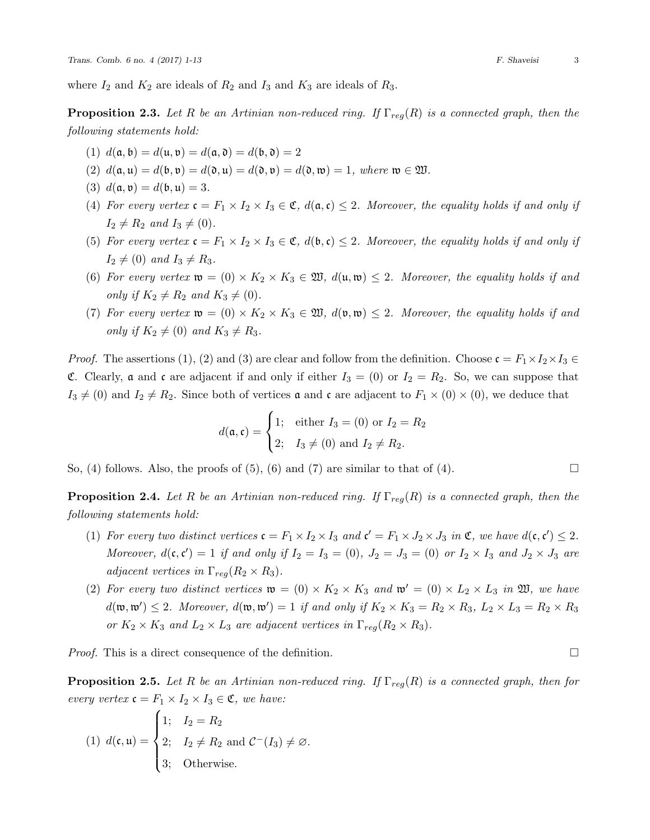where  $I_2$  and  $K_2$  are ideals of  $R_2$  and  $I_3$  and  $K_3$  are ideals of  $R_3$ .

<span id="page-2-0"></span>**Proposition 2.3.** *Let R be an Artinian non-reduced ring. If* Γ*reg*(*R*) *is a connected graph, then the following statements hold:*

- (1)  $d(\mathfrak{a}, \mathfrak{b}) = d(\mathfrak{u}, \mathfrak{v}) = d(\mathfrak{a}, \mathfrak{d}) = d(\mathfrak{b}, \mathfrak{d}) = 2$
- (2)  $d(a, u) = d(b, v) = d(0, u) = d(0, v) = d(0, w) = 1$ , where  $w \in \mathfrak{W}$ .
- (3)  $d(\mathfrak{a}, \mathfrak{v}) = d(\mathfrak{b}, \mathfrak{u}) = 3.$
- (4) For every vertex  $\mathfrak{c} = F_1 \times I_2 \times I_3 \in \mathfrak{C}$ ,  $d(\mathfrak{a}, \mathfrak{c}) \leq 2$ . Moreover, the equality holds if and only if  $I_2 \neq R_2$  *and*  $I_3 \neq (0)$ *.*
- (5) For every vertex  $c = F_1 \times I_2 \times I_3 \in \mathfrak{C}$ ,  $d(\mathfrak{b}, \mathfrak{c}) \leq 2$ . Moreover, the equality holds if and only if  $I_2 \neq (0)$  *and*  $I_3 \neq R_3$ .
- (6) For every vertex  $\mathfrak{w} = (0) \times K_2 \times K_3 \in \mathfrak{W}$ ,  $d(\mathfrak{u}, \mathfrak{w}) \leq 2$ . Moreover, the equality holds if and *only if*  $K_2 \neq R_2$  *and*  $K_3 \neq (0)$ *.*
- (7) For every vertex  $\mathfrak{w} = (0) \times K_2 \times K_3 \in \mathfrak{W}$ ,  $d(\mathfrak{v}, \mathfrak{w}) \leq 2$ . Moreover, the equality holds if and *only if*  $K_2 \neq (0)$  *and*  $K_3 \neq R_3$ *.*

*Proof.* The assertions (1), (2) and (3) are clear and follow from the definition. Choose  $\mathfrak{c} = F_1 \times I_2 \times I_3 \in$ **C.** Clearly, **a** and **c** are adjacent if and only if either  $I_3 = (0)$  or  $I_2 = R_2$ . So, we can suppose that  $I_3 \neq (0)$  and  $I_2 \neq R_2$ . Since both of vertices **a** and **c** are adjacent to  $F_1 \times (0) \times (0)$ , we deduce that

$$
d(\mathfrak{a}, \mathfrak{c}) = \begin{cases} 1; & \text{either } I_3 = (0) \text{ or } I_2 = R_2 \\ 2; & I_3 \neq (0) \text{ and } I_2 \neq R_2. \end{cases}
$$

So, (4) follows. Also, the proofs of (5), (6) and (7) are similar to that of (4).  $\Box$ 

<span id="page-2-2"></span>**Proposition 2.4.** *Let R be an Artinian non-reduced ring. If* Γ*reg*(*R*) *is a connected graph, then the following statements hold:*

- (1) For every two distinct vertices  $\mathfrak{c} = F_1 \times I_2 \times I_3$  and  $\mathfrak{c}' = F_1 \times J_2 \times J_3$  in  $\mathfrak{C}$ , we have  $d(\mathfrak{c}, \mathfrak{c}') \leq 2$ . Moreover,  $d(\mathfrak{c}, \mathfrak{c}') = 1$  if and only if  $I_2 = I_3 = (0)$ ,  $J_2 = J_3 = (0)$  or  $I_2 \times I_3$  and  $J_2 \times J_3$  are *adjacent vertices in*  $\Gamma_{req}(R_2 \times R_3)$ *.*
- (2) For every two distinct vertices  $\mathfrak{w} = (0) \times K_2 \times K_3$  and  $\mathfrak{w}' = (0) \times L_2 \times L_3$  in  $\mathfrak{W}$ , we have  $d(\mathfrak{w}, \mathfrak{w}') \leq 2$ . Moreover,  $d(\mathfrak{w}, \mathfrak{w}') = 1$  if and only if  $K_2 \times K_3 = R_2 \times R_3$ ,  $L_2 \times L_3 = R_2 \times R_3$ *or*  $K_2 \times K_3$  *and*  $L_2 \times L_3$  *are adjacent vertices in*  $\Gamma_{reg}(R_2 \times R_3)$ *.*

*Proof.* This is a direct consequence of the definition.  $\Box$ 

<span id="page-2-1"></span>**Proposition 2.5.** *Let R be an Artinian non-reduced ring. If* Γ*reg*(*R*) *is a connected graph, then for every vertex*  $\mathfrak{c} = F_1 \times I_2 \times I_3 \in \mathfrak{C}$ *, we have:* 

(1) 
$$
d(\mathfrak{c}, \mathfrak{u}) = \begin{cases} 1; & I_2 = R_2 \\ 2; & I_2 \neq R_2 \text{ and } C^-(I_3) \neq \emptyset. \\ 3; & \text{Otherwise.} \end{cases}
$$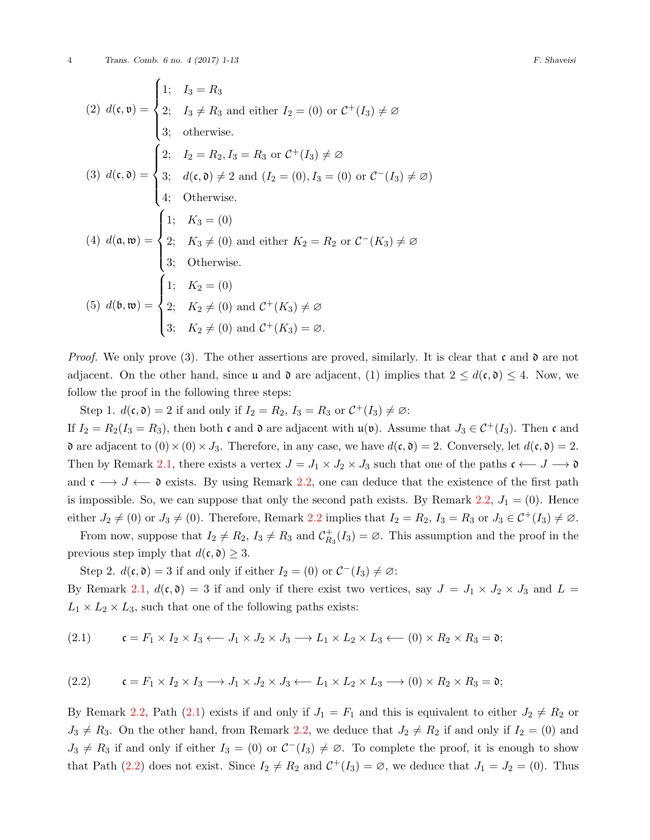(2) 
$$
d(\mathbf{c}, \mathbf{v}) = \begin{cases} 1; & I_3 = R_3 \\ 2; & I_3 \neq R_3 \text{ and either } I_2 = (0) \text{ or } C^+(I_3) \neq \emptyset \\ 3; & \text{otherwise.} \end{cases}
$$
  
\n(3)  $d(\mathbf{c}, \mathbf{0}) = \begin{cases} 2; & I_2 = R_2, I_3 = R_3 \text{ or } C^+(I_3) \neq \emptyset \\ 3; & d(\mathbf{c}, \mathbf{0}) \neq 2 \text{ and } (I_2 = (0), I_3 = (0) \text{ or } C^-(I_3) \neq \emptyset) \\ 4; & \text{Otherwise.} \end{cases}$   
\n(4)  $d(\mathbf{a}, \mathbf{w}) = \begin{cases} 1; & K_3 = (0) \\ 2; & K_3 \neq (0) \text{ and either } K_2 = R_2 \text{ or } C^-(K_3) \neq \emptyset \\ 3; & \text{Otherwise.} \end{cases}$   
\n(5)  $d(\mathbf{b}, \mathbf{w}) = \begin{cases} 1; & K_2 = (0) \\ 2; & K_2 \neq (0) \text{ and } C^+(K_3) \neq \emptyset \\ 3; & K_2 \neq (0) \text{ and } C^+(K_3) = \emptyset. \end{cases}$ 

*Proof.* We only prove (3). The other assertions are proved, similarly. It is clear that c and  $\mathfrak d$  are not adjacent. On the other hand, since u and  $\mathfrak{d}$  are adjacent, (1) implies that  $2 \leq d(\mathfrak{c}, \mathfrak{d}) \leq 4$ . Now, we follow the proof in the following three steps:

Step 1.  $d(\mathfrak{c}, \mathfrak{d}) = 2$  if and only if  $I_2 = R_2$ ,  $I_3 = R_3$  or  $C^+(I_3) \neq \emptyset$ : If  $I_2 = R_2(I_3 = R_3)$ , then both c and  $\mathfrak d$  are adjacent with  $\mathfrak u(\mathfrak v)$ . Assume that  $J_3 \in C^+(I_3)$ . Then c and **a** are adjacent to  $(0) \times (0) \times J_3$ . Therefore, in any case, we have  $d(c, \mathfrak{d}) = 2$ . Conversely, let  $d(c, \mathfrak{d}) = 2$ . Then by Remark [2.1](#page-1-0), there exists a vertex  $J = J_1 \times J_2 \times J_3$  such that one of the paths  $\mathfrak{c} \leftarrow J \rightarrow \mathfrak{d}$ and c *−→ J ←−* d exists. By using Remark [2.2,](#page-1-1) one can deduce that the existence of the first path is impossible. So, we can suppose that only the second path exists. By Remark [2.2](#page-1-1),  $J_1 = (0)$ . Hence either  $J_2 \neq (0)$  or  $J_3 \neq (0)$ . Therefore, Remark [2.2](#page-1-1) implies that  $I_2 = R_2$ ,  $I_3 = R_3$  or  $J_3 \in C^+(I_3) \neq \emptyset$ .

From now, suppose that  $I_2 \neq R_2$ ,  $I_3 \neq R_3$  and  $C_R^+$  $R_3^+(I_3) = \emptyset$ . This assumption and the proof in the previous step imply that  $d(\mathfrak{c}, \mathfrak{d}) \geq 3$ .

Step 2.  $d(\mathfrak{c}, \mathfrak{d}) = 3$  if and only if either  $I_2 = (0)$  or  $C^-(I_3) \neq \emptyset$ :

By Remark [2.1,](#page-1-0)  $d(c, \mathfrak{d}) = 3$  if and only if there exist two vertices, say  $J = J_1 \times J_2 \times J_3$  and  $L =$  $L_1 \times L_2 \times L_3$ , such that one of the following paths exists:

<span id="page-3-0"></span>
$$
(2.1) \qquad \mathfrak{c} = F_1 \times I_2 \times I_3 \longrightarrow J_1 \times J_2 \times J_3 \longrightarrow L_1 \times L_2 \times L_3 \longrightarrow (0) \times R_2 \times R_3 = \mathfrak{d};
$$

<span id="page-3-1"></span>
$$
(2.2) \qquad \mathfrak{c} = F_1 \times I_2 \times I_3 \longrightarrow J_1 \times J_2 \times J_3 \longleftarrow L_1 \times L_2 \times L_3 \longrightarrow (0) \times R_2 \times R_3 = \mathfrak{d};
$$

By Remark [2.2,](#page-1-1) Path [\(2.1](#page-3-0)) exists if and only if  $J_1 = F_1$  and this is equivalent to either  $J_2 \neq R_2$  or  $J_3 \neq R_3$ . On the other hand, from Remark [2.2,](#page-1-1) we deduce that  $J_2 \neq R_2$  if and only if  $I_2 = (0)$  and  $J_3 \neq R_3$  if and only if either  $I_3 = (0)$  or  $C^-(I_3) \neq \emptyset$ . To complete the proof, it is enough to show that Path [\(2.2](#page-3-1)) does not exist. Since  $I_2 \neq R_2$  and  $C^+(I_3) = \emptyset$ , we deduce that  $J_1 = J_2 = (0)$ . Thus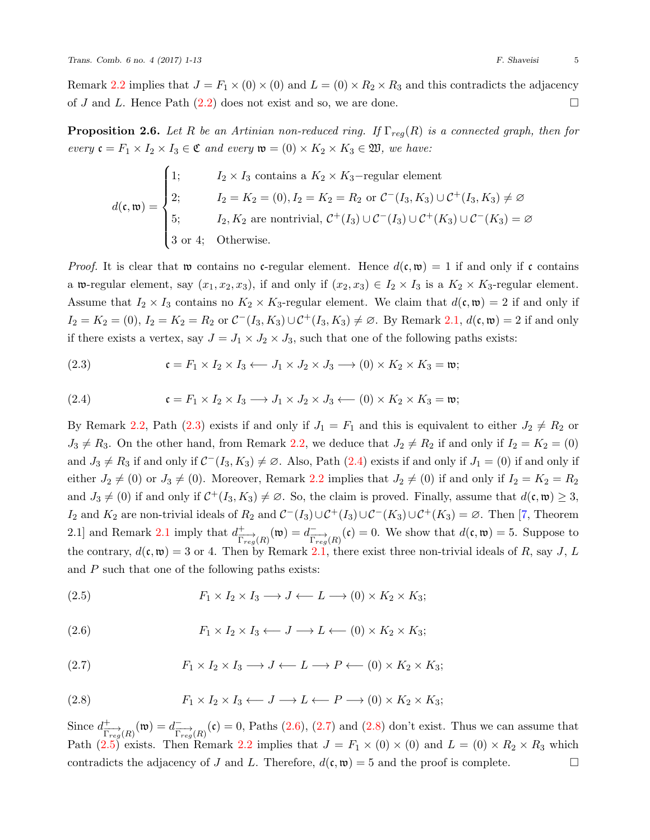Remark [2.2](#page-1-1) implies that  $J = F_1 \times (0) \times (0)$  and  $L = (0) \times R_2 \times R_3$  and this contradicts the adjacency of *J* and *L*. Hence Path  $(2.2)$  does not exist and so, we are done. □

<span id="page-4-6"></span>**Proposition 2.6.** *Let*  $R$  *be an Artinian non-reduced ring. If*  $\Gamma_{req}(R)$  *is a connected graph, then for every*  $\mathfrak{c} = F_1 \times I_2 \times I_3 \in \mathfrak{C}$  *and every*  $\mathfrak{w} = (0) \times K_2 \times K_3 \in \mathfrak{W}$ *, we have:* 

$$
d(\mathfrak{c}, \mathfrak{w}) = \begin{cases} 1; & I_2 \times I_3 \text{ contains a } K_2 \times K_3-\text{regular element} \\ 2; & I_2 = K_2 = (0), I_2 = K_2 = R_2 \text{ or } C^-(I_3, K_3) \cup C^+(I_3, K_3) \neq \emptyset \\ 5; & I_2, K_2 \text{ are nontrivial, } C^+(I_3) \cup C^-(I_3) \cup C^+(K_3) \cup C^-(K_3) = \emptyset \\ 3 \text{ or } 4; & \text{Otherwise.} \end{cases}
$$

*Proof.* It is clear that w contains no c-regular element. Hence  $d(c, \mathfrak{w}) = 1$  if and only if c contains a w-regular element, say  $(x_1, x_2, x_3)$ , if and only if  $(x_2, x_3) \in I_2 \times I_3$  is a  $K_2 \times K_3$ -regular element. Assume that  $I_2 \times I_3$  contains no  $K_2 \times K_3$ -regular element. We claim that  $d(\mathfrak{c}, \mathfrak{w}) = 2$  if and only if  $I_2 = K_2 = (0), I_2 = K_2 = R_2$  or  $C^-(I_3, K_3) \cup C^+(I_3, K_3) \neq \emptyset$ . By Remark [2.1,](#page-1-0)  $d(c, \mathfrak{w}) = 2$  if and only if there exists a vertex, say  $J = J_1 \times J_2 \times J_3$ , such that one of the following paths exists:

<span id="page-4-0"></span>(2.3) 
$$
\mathfrak{c} = F_1 \times I_2 \times I_3 \longleftarrow J_1 \times J_2 \times J_3 \longrightarrow (0) \times K_2 \times K_3 = \mathfrak{w};
$$

<span id="page-4-1"></span>(2.4) 
$$
\mathfrak{c} = F_1 \times I_2 \times I_3 \longrightarrow J_1 \times J_2 \times J_3 \longleftarrow (0) \times K_2 \times K_3 = \mathfrak{w};
$$

By Remark [2.2,](#page-1-1) Path [\(2.3](#page-4-0)) exists if and only if  $J_1 = F_1$  and this is equivalent to either  $J_2 \neq R_2$  or  $J_3 \neq R_3$ . On the other hand, from Remark [2.2](#page-1-1), we deduce that  $J_2 \neq R_2$  if and only if  $I_2 = K_2 = (0)$ and $J_3 \neq R_3$  if and only if  $C^-(I_3, K_3) \neq \emptyset$ . Also, Path  $(2.4)$  $(2.4)$  $(2.4)$  exists if and only if  $J_1 = (0)$  if and only if either  $J_2 \neq (0)$  or  $J_3 \neq (0)$ . Moreover, Remark [2.2](#page-1-1) implies that  $J_2 \neq (0)$  if and only if  $I_2 = K_2 = R_2$ and  $J_3 \neq (0)$  if and only if  $C^+(I_3, K_3) \neq \emptyset$ . So, the claim is proved. Finally, assume that  $d(\mathfrak{c}, \mathfrak{w}) \geq 3$ , *I*<sub>2</sub> and *K*<sub>2</sub> are non-trivial ideals of *R*<sub>2</sub> and  $\mathcal{C}$ <sup>*−*</sup>(*I*<sub>3</sub>)*∪*  $\mathcal{C}$ <sup>*+*</sup>(*K*<sub>3</sub>)*∪*  $\mathcal{C}$ <sup>+</sup>(*K*<sub>3</sub>) = ∅. Then [\[7,](#page-12-8) Theorem [2.1](#page-1-0) and Remark 2.1 imply that  $d_{\overline{n}}^+$  $\frac{+}{\Gamma_{reg}(R)}(\mathfrak{w}) = d^{-}_{\frac{\Gamma_{reg}(R)}{\Gamma_{reg}(R)}}(\mathfrak{c}) = 0.$  We show that  $d(\mathfrak{c}, \mathfrak{w}) = 5$ . Suppose to the contrary,  $d(\mathfrak{c}, \mathfrak{w}) = 3$  or 4. Then by Remark [2.1](#page-1-0), there exist three non-trivial ideals of *R*, say *J*, *L* and *P* such that one of the following paths exists:

<span id="page-4-5"></span>(2.5) 
$$
F_1 \times I_2 \times I_3 \longrightarrow J \longleftarrow L \longrightarrow (0) \times K_2 \times K_3;
$$

<span id="page-4-2"></span>
$$
(2.6) \tF_1 \times I_2 \times I_3 \leftarrow J \longrightarrow L \leftarrow (0) \times K_2 \times K_3;
$$

<span id="page-4-3"></span>(2.7) 
$$
F_1 \times I_2 \times I_3 \longrightarrow J \longleftarrow L \longrightarrow P \longleftarrow (0) \times K_2 \times K_3;
$$

<span id="page-4-4"></span>(2.8) 
$$
F_1 \times I_2 \times I_3 \longleftarrow J \longrightarrow L \longleftarrow P \longrightarrow (0) \times K_2 \times K_3;
$$

Since  $d_{\overline{n}}^+$  $\frac{+}{\Gamma_{reg}(R)}(\mathfrak{w}) = d^{-}_{\overrightarrow{\Gamma_{reg}}(R)}(\mathfrak{c}) = 0$  $\frac{+}{\Gamma_{reg}(R)}(\mathfrak{w}) = d^{-}_{\overrightarrow{\Gamma_{reg}}(R)}(\mathfrak{c}) = 0$  $\frac{+}{\Gamma_{reg}(R)}(\mathfrak{w}) = d^{-}_{\overrightarrow{\Gamma_{reg}}(R)}(\mathfrak{c}) = 0$ , Paths [\(2.6](#page-4-2)), [\(2.7](#page-4-3)) and ([2.8\)](#page-4-4) don't exist. Thus we can assume that Path([2.5\)](#page-4-5) exists. Then Remark [2.2](#page-1-1) implies that  $J = F_1 \times (0) \times (0)$  and  $L = (0) \times R_2 \times R_3$  which contradicts the adjacency of *J* and *L*. Therefore,  $d(\mathfrak{c}, \mathfrak{w}) = 5$  and the proof is complete.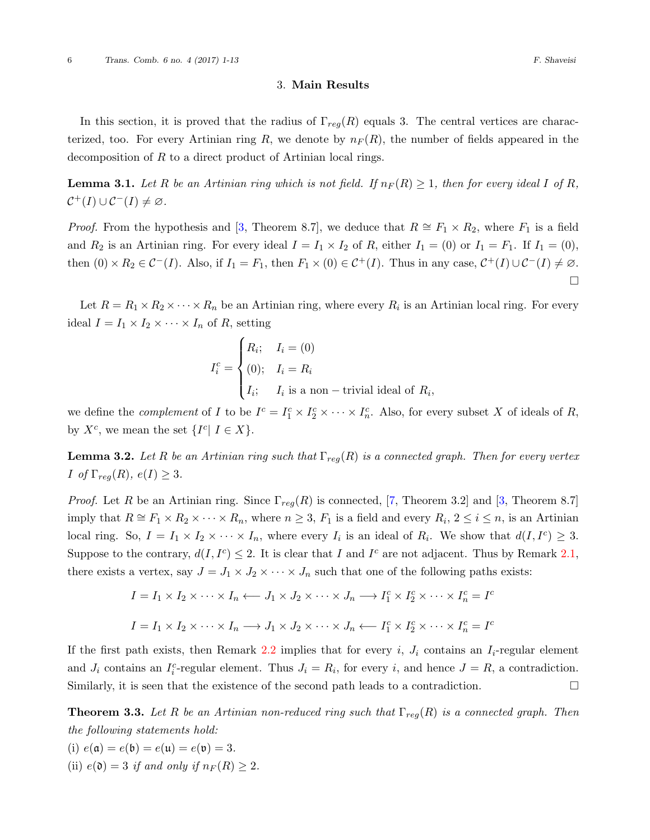### 3. **Main Results**

In this section, it is proved that the radius of Γ*reg*(*R*) equals 3. The central vertices are characterized, too. For every Artinian ring  $R$ , we denote by  $n_F(R)$ , the number of fields appeared in the decomposition of *R* to a direct product of Artinian local rings.

<span id="page-5-1"></span>**Lemma 3.1.** Let R be an Artinian ring which is not field. If  $n_F(R) \geq 1$ , then for every ideal I of R,  $C^+(I) \cup C^-(I) \neq \emptyset$ .

*Proof.*From the hypothesis and [[3](#page-12-9), Theorem 8.7], we deduce that  $R \cong F_1 \times R_2$ , where  $F_1$  is a field and  $R_2$  is an Artinian ring. For every ideal  $I = I_1 \times I_2$  of R, either  $I_1 = (0)$  or  $I_1 = F_1$ . If  $I_1 = (0)$ , then  $(0) \times R_2 \in C^-(I)$ . Also, if  $I_1 = F_1$ , then  $F_1 \times (0) \in C^+(I)$ . Thus in any case,  $C^+(I) \cup C^-(I) \neq \emptyset$ . □

Let  $R = R_1 \times R_2 \times \cdots \times R_n$  be an Artinian ring, where every  $R_i$  is an Artinian local ring. For every ideal  $I = I_1 \times I_2 \times \cdots \times I_n$  of *R*, setting

$$
I_i^c = \begin{cases} R_i; & I_i = (0) \\ (0); & I_i = R_i \\ I_i; & I_i \text{ is a non–trivial ideal of } R_i, \end{cases}
$$

we define the *complement* of *I* to be  $I^c = I_1^c \times I_2^c \times \cdots \times I_n^c$ . Also, for every subset *X* of ideals of *R*, by  $X^c$ , we mean the set  $\{I^c | I \in X\}$ .

<span id="page-5-0"></span>**Lemma 3.2.** Let R be an Artinian ring such that  $\Gamma_{req}(R)$  is a connected graph. Then for every vertex  $I$  *of*  $\Gamma_{reg}(R)$ *,*  $e(I) \geq 3$ *.* 

*Proof.*Let *R* be an Artinian ring. Since  $\Gamma_{reg}(R)$  is connected, [[7](#page-12-8), Theorem 3.2] and [[3,](#page-12-9) Theorem 8.7] imply that  $R \cong F_1 \times R_2 \times \cdots \times R_n$ , where  $n \geq 3$ ,  $F_1$  is a field and every  $R_i$ ,  $2 \leq i \leq n$ , is an Artinian local ring. So,  $I = I_1 \times I_2 \times \cdots \times I_n$ , where every  $I_i$  is an ideal of  $R_i$ . We show that  $d(I, I^c) \geq 3$ . Suppose to the contrary,  $d(I, I^c) \leq 2$ . It is clear that *I* and *I*<sup>c</sup> are not adjacent. Thus by Remark [2.1](#page-1-0), there exists a vertex, say  $J = J_1 \times J_2 \times \cdots \times J_n$  such that one of the following paths exists:

$$
I = I_1 \times I_2 \times \cdots \times I_n \leftarrow J_1 \times J_2 \times \cdots \times J_n \longrightarrow I_1^c \times I_2^c \times \cdots \times I_n^c = I^c
$$
  

$$
I = I_1 \times I_2 \times \cdots \times I_n \longrightarrow J_1 \times J_2 \times \cdots \times J_n \leftarrow I_1^c \times I_2^c \times \cdots \times I_n^c = I^c
$$

If the first path exists, then Remark [2.2](#page-1-1) implies that for every *i*,  $J_i$  contains an  $I_i$ -regular element and  $J_i$  contains an  $I_i^c$ -regular element. Thus  $J_i = R_i$ , for every *i*, and hence  $J = R$ , a contradiction. Similarly, it is seen that the existence of the second path leads to a contradiction.  $\Box$ 

<span id="page-5-2"></span>**Theorem 3.3.** *Let R be an Artinian non-reduced ring such that* Γ*reg*(*R*) *is a connected graph. Then the following statements hold:*

(i)  $e(\mathfrak{a}) = e(\mathfrak{b}) = e(\mathfrak{u}) = e(\mathfrak{v}) = 3.$ (ii)  $e(\mathfrak{d}) = 3$  *if and only if*  $n_F(R) \geq 2$ *.*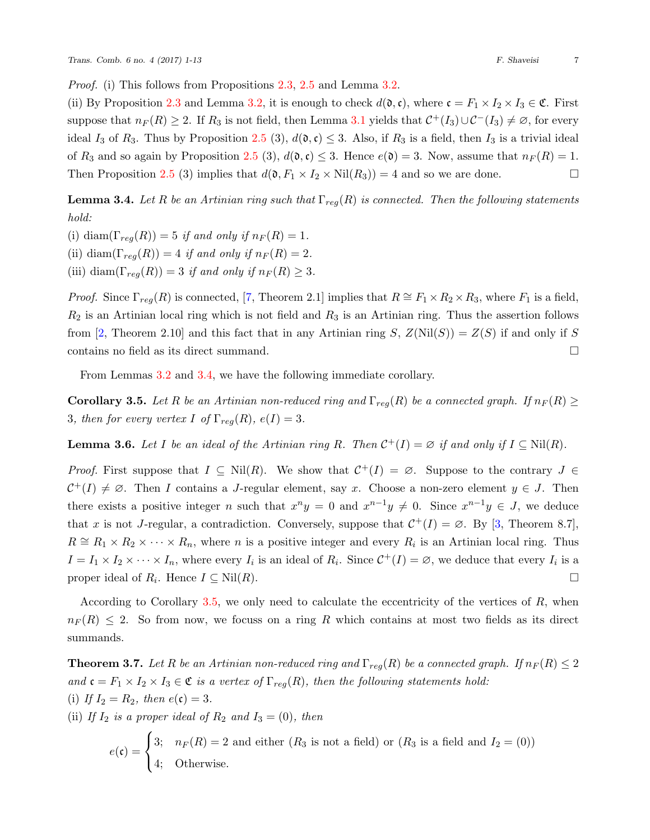*Proof.* (i) This follows from Propositions [2.3,](#page-2-0) [2.5](#page-2-1) and Lemma [3.2](#page-5-0).

(ii) By Proposition [2.3](#page-2-0) and Lemma [3.2](#page-5-0), it is enough to check  $d(\mathfrak{d}, \mathfrak{c})$ , where  $\mathfrak{c} = F_1 \times I_2 \times I_3 \in \mathfrak{C}$ . First suppose that  $n_F(R) \geq 2$ . If  $R_3$  is not field, then Lemma [3.1](#page-5-1) yields that  $C^+(I_3) \cup C^-(I_3) \neq \emptyset$ , for every ideal  $I_3$  of  $R_3$ . Thus by Proposition [2.5](#page-2-1) (3),  $d(\mathfrak{d}, \mathfrak{c}) \leq 3$ . Also, if  $R_3$  is a field, then  $I_3$  is a trivial ideal of  $R_3$  and so again by Proposition [2.5](#page-2-1) (3),  $d(\mathfrak{d}, \mathfrak{c}) \leq 3$ . Hence  $e(\mathfrak{d}) = 3$ . Now, assume that  $n_F(R) = 1$ . Then Proposition [2.5](#page-2-1) (3) implies that  $d(\mathfrak{d}, F_1 \times I_2 \times Nil(R_3)) = 4$  and so we are done. □

<span id="page-6-0"></span>**Lemma 3.4.** *Let*  $R$  *be an Artinian ring such that*  $\Gamma_{req}(R)$  *is connected. Then the following statements hold:*

(i) diam( $\Gamma_{reg}(R)$ ) = 5 *if and only if*  $n_F(R) = 1$ . (ii) diam( $\Gamma_{req}(R)$ ) = 4 *if and only if*  $n_F(R) = 2$ .

(iii) diam( $\Gamma_{reg}(R)$ ) = 3 *if and only if*  $n_F(R) \geq 3$ *.* 

*Proof.*Since  $\Gamma_{reg}(R)$  is connected, [[7](#page-12-8), Theorem 2.1] implies that  $R \cong F_1 \times R_2 \times R_3$ , where  $F_1$  is a field, *R*<sup>2</sup> is an Artinian local ring which is not field and *R*<sup>3</sup> is an Artinian ring. Thus the assertion follows from[[2](#page-12-7), Theorem 2.10] and this fact that in any Artinian ring *S*,  $Z(Nil(S)) = Z(S)$  if and only if *S* contains no field as its direct summand. □

From Lemmas [3.2](#page-5-0) and [3.4](#page-6-0), we have the following immediate corollary.

<span id="page-6-1"></span>**Corollary 3.5.** *Let R be an Artinian non-reduced ring and*  $\Gamma_{req}(R)$  *be a connected graph. If*  $n_F(R) \ge$ 3*, then for every vertex I of*  $\Gamma_{req}(R)$ *, e(I)* = 3*.* 

<span id="page-6-2"></span>**Lemma 3.6.** *Let I be an ideal of the Artinian ring R. Then*  $C^+(I) = \emptyset$  *if and only if*  $I \subseteq Nil(R)$ *.* 

*Proof.* First suppose that  $I \subseteq Nil(R)$ . We show that  $C^+(I) = \emptyset$ . Suppose to the contrary  $J \in$  $\mathcal{C}^+(I) \neq \emptyset$ . Then *I* contains a *J*-regular element, say *x*. Choose a non-zero element  $y \in J$ . Then there exists a positive integer *n* such that  $x^n y = 0$  and  $x^{n-1} y \neq 0$ . Since  $x^{n-1} y \in J$ , we deduce that *x* is not *J*-regular, a contradiction. Conversely, suppose that  $C^+(I) = \emptyset$ . By [\[3,](#page-12-9) Theorem 8.7],  $R \cong R_1 \times R_2 \times \cdots \times R_n$ , where *n* is a positive integer and every  $R_i$  is an Artinian local ring. Thus  $I = I_1 \times I_2 \times \cdots \times I_n$ , where every  $I_i$  is an ideal of  $R_i$ . Since  $C^+(I) = \emptyset$ , we deduce that every  $I_i$  is a proper ideal of  $R_i$ . Hence  $I \subseteq Nil(R)$ .

According to Corollary [3.5,](#page-6-1) we only need to calculate the eccentricity of the vertices of *R*, when  $n_F(R) \leq 2$ . So from now, we focuss on a ring *R* which contains at most two fields as its direct summands.

<span id="page-6-3"></span>**Theorem 3.7.** *Let R be an Artinian non-reduced ring and*  $\Gamma_{reg}(R)$  *be a connected graph. If*  $n_F(R) \leq 2$ *and*  $\mathfrak{c} = F_1 \times I_2 \times I_3 \in \mathfrak{C}$  *is a vertex of*  $\Gamma_{reg}(R)$ *, then the following statements hold:* (i) *If*  $I_2 = R_2$ *, then*  $e(c) = 3$ *.* 

(ii) *If*  $I_2$  *is a proper ideal of*  $R_2$  *and*  $I_3 = (0)$ *, then* 

$$
e(\mathfrak{c}) = \begin{cases} 3; & n_F(R) = 2 \text{ and either } (R_3 \text{ is not a field}) \text{ or } (R_3 \text{ is a field and } I_2 = (0))\\ 4; & \text{Otherwise.} \end{cases}
$$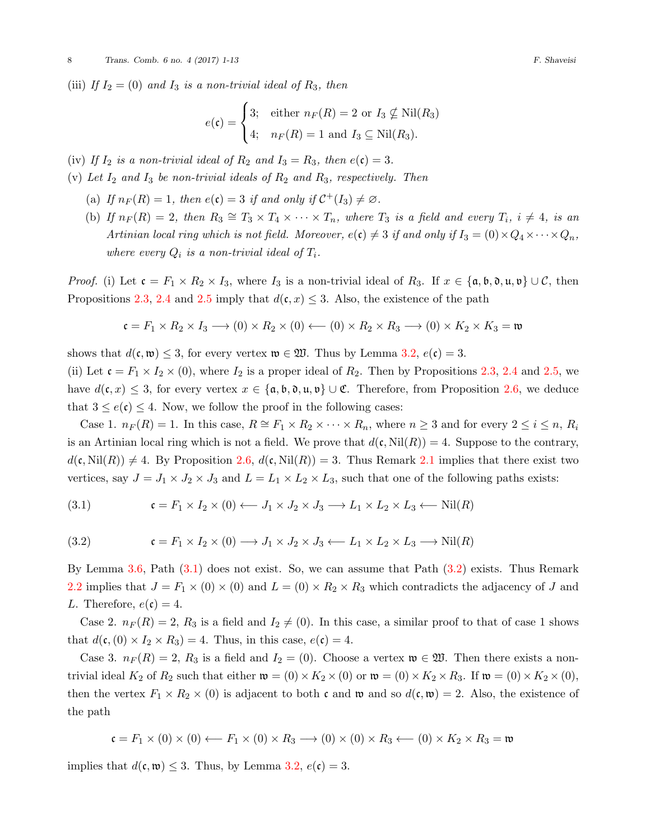(iii) *If*  $I_2 = (0)$  *and*  $I_3$  *is a non-trivial ideal of*  $R_3$ *, then* 

$$
e(\mathfrak{c}) = \begin{cases} 3; & \text{either } n_F(R) = 2 \text{ or } I_3 \nsubseteq \text{Nil}(R_3) \\ 4; & n_F(R) = 1 \text{ and } I_3 \subseteq \text{Nil}(R_3). \end{cases}
$$

- (iv) If  $I_2$  *is a non-trivial ideal of*  $R_2$  *and*  $I_3 = R_3$ *, then*  $e(\mathfrak{c}) = 3$ *.*
- (v) Let  $I_2$  and  $I_3$  be non-trivial ideals of  $R_2$  and  $R_3$ , respectively. Then
	- (a) If  $n_F(R) = 1$ , then  $e(c) = 3$  if and only if  $C^+(I_3) \neq \emptyset$ .
	- (b) If  $n_F(R) = 2$ , then  $R_3 \cong T_3 \times T_4 \times \cdots \times T_n$ , where  $T_3$  is a field and every  $T_i$ ,  $i \neq 4$ , is an *Artinian local ring which is not field. Moreover,*  $e(\mathfrak{c}) \neq 3$  *if and only if*  $I_3 = (0) \times Q_4 \times \cdots \times Q_n$ , *where every*  $Q_i$  *is a non-trivial ideal of*  $T_i$ *.*

*Proof.* (i) Let  $\mathfrak{c} = F_1 \times R_2 \times I_3$ , where  $I_3$  is a non-trivial ideal of  $R_3$ . If  $x \in \{\mathfrak{a}, \mathfrak{b}, \mathfrak{d}, \mathfrak{u}, \mathfrak{v}\} \cup \mathcal{C}$ , then Propositions [2.3](#page-2-0), [2.4](#page-2-2) and [2.5](#page-2-1) imply that  $d(c, x) \leq 3$ . Also, the existence of the path

$$
\mathfrak{c} = F_1 \times R_2 \times I_3 \longrightarrow (0) \times R_2 \times (0) \longleftarrow (0) \times R_2 \times R_3 \longrightarrow (0) \times K_2 \times K_3 = \mathfrak{w}
$$

shows that  $d(\mathfrak{c}, \mathfrak{w}) \leq 3$ , for every vertex  $\mathfrak{w} \in \mathfrak{W}$ . Thus by Lemma [3.2](#page-5-0),  $e(\mathfrak{c}) = 3$ .

(ii) Let  $\mathfrak{c} = F_1 \times I_2 \times (0)$ , where  $I_2$  is a proper ideal of  $R_2$ . Then by Propositions [2.3](#page-2-0), [2.4](#page-2-2) and [2.5](#page-2-1), we have  $d(\mathfrak{c}, x) \leq 3$ , for every vertex  $x \in {\mathfrak{a}, \mathfrak{b}, \mathfrak{d}, \mathfrak{u}, \mathfrak{v}} \cup \mathfrak{C}$ . Therefore, from Proposition [2.6,](#page-4-6) we deduce that  $3 \leq e(\mathfrak{c}) \leq 4$ . Now, we follow the proof in the following cases:

Case 1.  $n_F(R) = 1$ . In this case,  $R \cong F_1 \times R_2 \times \cdots \times R_n$ , where  $n \geq 3$  and for every  $2 \leq i \leq n$ ,  $R_i$ is an Artinian local ring which is not a field. We prove that  $d(c, Nil(R)) = 4$ . Suppose to the contrary,  $d(\mathfrak{c}, \text{Nil}(R)) \neq 4$ . By Proposition [2.6,](#page-4-6)  $d(\mathfrak{c}, \text{Nil}(R)) = 3$ . Thus Remark [2.1](#page-1-0) implies that there exist two vertices, say  $J = J_1 \times J_2 \times J_3$  and  $L = L_1 \times L_2 \times L_3$ , such that one of the following paths exists:

<span id="page-7-0"></span>(3.1) 
$$
\mathfrak{c} = F_1 \times I_2 \times (0) \longleftarrow J_1 \times J_2 \times J_3 \longrightarrow L_1 \times L_2 \times L_3 \longleftarrow \text{Nil}(R)
$$

<span id="page-7-1"></span>(3.2) 
$$
\mathfrak{c} = F_1 \times I_2 \times (0) \longrightarrow J_1 \times J_2 \times J_3 \longleftarrow L_1 \times L_2 \times L_3 \longrightarrow \text{Nil}(R)
$$

By Lemma [3.6,](#page-6-2) Path [\(3.1](#page-7-0)) does not exist. So, we can assume that Path([3.2](#page-7-1)) exists. Thus Remark [2.2](#page-1-1) implies that  $J = F_1 \times (0) \times (0)$  and  $L = (0) \times R_2 \times R_3$  which contradicts the adjacency of *J* and *L*. Therefore,  $e(\mathfrak{c}) = 4$ .

Case 2.  $n_F(R) = 2$ ,  $R_3$  is a field and  $I_2 \neq (0)$ . In this case, a similar proof to that of case 1 shows that  $d(c, (0) \times I_2 \times R_3) = 4$ . Thus, in this case,  $e(c) = 4$ .

Case 3.  $n_F(R) = 2$ ,  $R_3$  is a field and  $I_2 = (0)$ . Choose a vertex  $\mathfrak{w} \in \mathfrak{W}$ . Then there exists a nontrivial ideal  $K_2$  of  $R_2$  such that either  $\mathfrak{w} = (0) \times K_2 \times (0)$  or  $\mathfrak{w} = (0) \times K_2 \times R_3$ . If  $\mathfrak{w} = (0) \times K_2 \times (0)$ , then the vertex  $F_1 \times R_2 \times (0)$  is adjacent to both c and w and so  $d(c, w) = 2$ . Also, the existence of the path

$$
\mathfrak{c} = F_1 \times (0) \times (0) \leftarrow F_1 \times (0) \times R_3 \longrightarrow (0) \times (0) \times R_3 \leftarrow (0) \times K_2 \times R_3 = \mathfrak{w}
$$

implies that  $d(c, \mathfrak{w}) \leq 3$ . Thus, by Lemma [3.2](#page-5-0),  $e(c) = 3$ .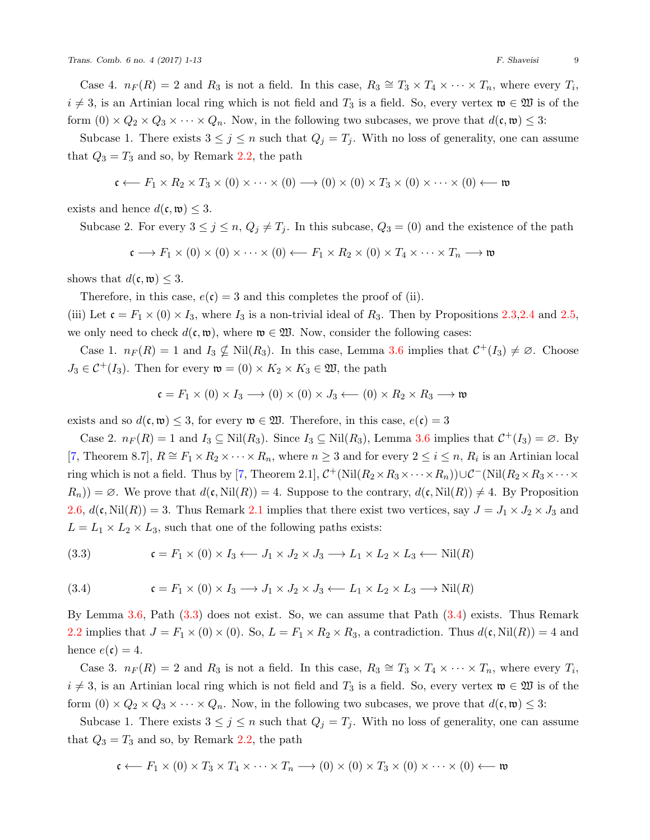Case 4.  $n_F(R) = 2$  and  $R_3$  is not a field. In this case,  $R_3 \cong T_3 \times T_4 \times \cdots \times T_n$ , where every  $T_i$ ,  $i \neq 3$ , is an Artinian local ring which is not field and *T*<sub>3</sub> is a field. So, every vertex  $\mathfrak{w} \in \mathfrak{W}$  is of the form  $(0) \times Q_2 \times Q_3 \times \cdots \times Q_n$ . Now, in the following two subcases, we prove that  $d(\mathfrak{c}, \mathfrak{w}) \leq 3$ :

Subcase 1. There exists  $3 \leq j \leq n$  such that  $Q_j = T_j$ . With no loss of generality, one can assume that  $Q_3 = T_3$  and so, by Remark [2.2,](#page-1-1) the path

$$
\mathfrak{c} \longleftarrow F_1 \times R_2 \times T_3 \times (0) \times \cdots \times (0) \longrightarrow (0) \times (0) \times T_3 \times (0) \times \cdots \times (0) \longleftarrow \mathfrak{w}
$$

exists and hence  $d(\mathfrak{c}, \mathfrak{w}) \leq 3$ .

Subcase 2. For every  $3 \leq j \leq n$ ,  $Q_j \neq T_j$ . In this subcase,  $Q_3 = (0)$  and the existence of the path

$$
\mathfrak{c} \longrightarrow F_1 \times (0) \times (0) \times \cdots \times (0) \longleftarrow F_1 \times R_2 \times (0) \times T_4 \times \cdots \times T_n \longrightarrow \mathfrak{w}
$$

shows that  $d(\mathfrak{c}, \mathfrak{w}) \leq 3$ .

Therefore, in this case,  $e(\mathfrak{c}) = 3$  and this completes the proof of (ii).

(iii) Let  $\mathfrak{c} = F_1 \times (0) \times I_3$ , where  $I_3$  is a non-trivial ideal of  $R_3$ . Then by Propositions [2.3,](#page-2-0)[2.4](#page-2-2) and [2.5](#page-2-1), we only need to check  $d(c, \mathfrak{w})$ , where  $\mathfrak{w} \in \mathfrak{W}$ . Now, consider the following cases:

Case 1.  $n_F(R) = 1$  and  $I_3 \nsubseteq$  Nil $(R_3)$ . In this case, Lemma [3.6](#page-6-2) implies that  $C^+(I_3) \neq \emptyset$ . Choose  $J_3 \in C^+(I_3)$ . Then for every  $\mathfrak{w} = (0) \times K_2 \times K_3 \in \mathfrak{W}$ , the path

$$
\mathfrak{c} = F_1 \times (0) \times I_3 \longrightarrow (0) \times (0) \times J_3 \longleftarrow (0) \times R_2 \times R_3 \longrightarrow \mathfrak{w}
$$

exists and so  $d(\mathfrak{c}, \mathfrak{w}) \leq 3$ , for every  $\mathfrak{w} \in \mathfrak{W}$ . Therefore, in this case,  $e(\mathfrak{c}) = 3$ 

Case 2.  $n_F(R) = 1$  and  $I_3 \subseteq Nil(R_3)$ . Since  $I_3 \subseteq Nil(R_3)$ , Lemma [3.6](#page-6-2) implies that  $C^+(I_3) = \emptyset$ . By [[7,](#page-12-8) Theorem 8.7],  $R \cong F_1 \times R_2 \times \cdots \times R_n$ , where  $n \geq 3$  and for every  $2 \leq i \leq n$ ,  $R_i$  is an Artinian local ring which is not a field. Thus by [\[7,](#page-12-8) Theorem 2.1],  $C^+$ (Nil $(R_2 \times R_3 \times \cdots \times R_n)$ ) $\cup C^-$ (Nil $(R_2 \times R_3 \times \cdots \times R_n)$ )  $R_n$ )) =  $\emptyset$ . We prove that  $d(c, Nil(R)) = 4$ . Suppose to the contrary,  $d(c, Nil(R)) \neq 4$ . By Proposition [2.6](#page-4-6),  $d(\mathfrak{c}, \text{Nil}(R)) = 3$ . Thus Remark [2.1](#page-1-0) implies that there exist two vertices, say  $J = J_1 \times J_2 \times J_3$  and  $L = L_1 \times L_2 \times L_3$ , such that one of the following paths exists:

<span id="page-8-0"></span>(3.3) 
$$
\mathfrak{c} = F_1 \times (0) \times I_3 \longrightarrow J_1 \times J_2 \times J_3 \longrightarrow L_1 \times L_2 \times L_3 \longrightarrow \text{Nil}(R)
$$

<span id="page-8-1"></span>(3.4) 
$$
\mathfrak{c} = F_1 \times (0) \times I_3 \longrightarrow J_1 \times J_2 \times J_3 \longleftarrow L_1 \times L_2 \times L_3 \longrightarrow \text{Nil}(R)
$$

By Lemma [3.6,](#page-6-2) Path [\(3.3](#page-8-0)) does not exist. So, we can assume that Path([3.4](#page-8-1)) exists. Thus Remark [2.2](#page-1-1) implies that  $J = F_1 \times (0) \times (0)$ . So,  $L = F_1 \times R_2 \times R_3$ , a contradiction. Thus  $d(\mathfrak{c}, \text{Nil}(R)) = 4$  and hence  $e(\mathfrak{c}) = 4$ .

Case 3.  $n_F(R) = 2$  and  $R_3$  is not a field. In this case,  $R_3 \cong T_3 \times T_4 \times \cdots \times T_n$ , where every  $T_i$ ,  $i \neq 3$ , is an Artinian local ring which is not field and *T*<sub>3</sub> is a field. So, every vertex  $\mathfrak{w} \in \mathfrak{W}$  is of the form  $(0) \times Q_2 \times Q_3 \times \cdots \times Q_n$ . Now, in the following two subcases, we prove that  $d(\mathfrak{c}, \mathfrak{w}) \leq 3$ :

Subcase 1. There exists  $3 \leq j \leq n$  such that  $Q_j = T_j$ . With no loss of generality, one can assume that  $Q_3 = T_3$  and so, by Remark [2.2,](#page-1-1) the path

$$
\mathfrak{c} \longleftarrow F_1 \times (0) \times T_3 \times T_4 \times \cdots \times T_n \longrightarrow (0) \times (0) \times T_3 \times (0) \times \cdots \times (0) \longleftarrow \mathfrak{w}
$$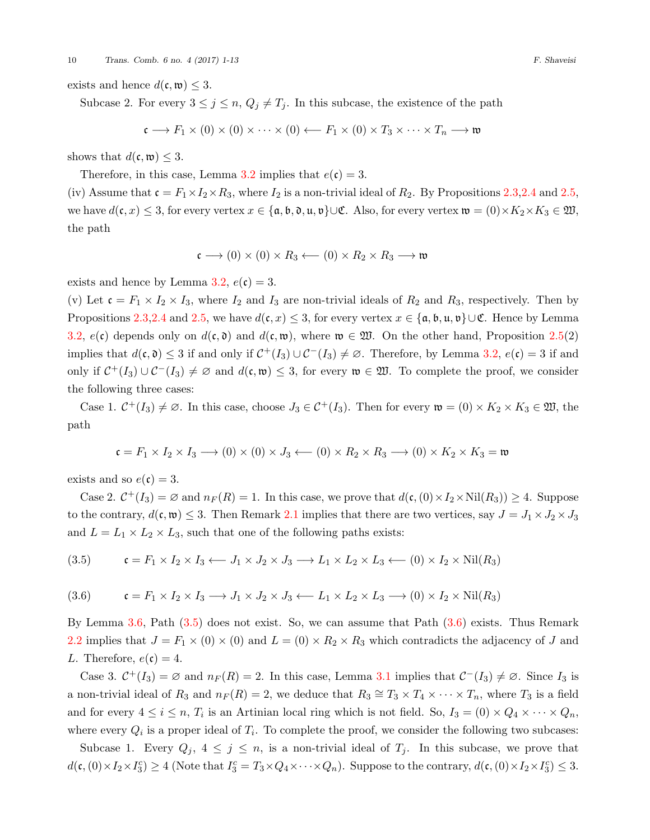exists and hence  $d(\mathfrak{c}, \mathfrak{w}) \leq 3$ .

Subcase 2. For every  $3 \leq j \leq n$ ,  $Q_j \neq T_j$ . In this subcase, the existence of the path

$$
\mathfrak{c} \longrightarrow F_1 \times (0) \times (0) \times \cdots \times (0) \longleftarrow F_1 \times (0) \times T_3 \times \cdots \times T_n \longrightarrow \mathfrak{w}
$$

shows that  $d(\mathfrak{c}, \mathfrak{w}) \leq 3$ .

Therefore, in this case, Lemma [3.2](#page-5-0) implies that  $e(\mathfrak{c}) = 3$ .

(iv) Assume that  $\mathfrak{c} = F_1 \times I_2 \times R_3$ , where  $I_2$  is a non-trivial ideal of  $R_2$ . By Propositions [2.3](#page-2-0)[,2.4](#page-2-2) and [2.5](#page-2-1), we have  $d(c, x) \leq 3$ , for every vertex  $x \in \{a, b, 0, u, v\} \cup \mathfrak{C}$ . Also, for every vertex  $\mathfrak{w} = (0) \times K_2 \times K_3 \in \mathfrak{W}$ , the path

$$
\mathfrak{c}\longrightarrow (0)\times (0)\times R_3\longleftarrow (0)\times R_2\times R_3\longrightarrow \mathfrak{w}
$$

exists and hence by Lemma  $3.2, e(c) = 3$  $3.2, e(c) = 3$ .

(v) Let  $\mathfrak{c} = F_1 \times I_2 \times I_3$ , where  $I_2$  and  $I_3$  are non-trivial ideals of  $R_2$  and  $R_3$ , respectively. Then by Propositions [2.3,](#page-2-0)[2.4](#page-2-2) and [2.5](#page-2-1), we have  $d(c, x) \leq 3$ , for every vertex  $x \in \{a, b, u, v\} \cup \mathfrak{C}$ . Hence by Lemma [3.2](#page-5-0),  $e(\mathfrak{c})$  depends only on  $d(\mathfrak{c}, \mathfrak{d})$  and  $d(\mathfrak{c}, \mathfrak{w})$ , where  $\mathfrak{w} \in \mathfrak{W}$ . On the other hand, Proposition [2.5](#page-2-1)(2) implies that  $d(c, \mathfrak{d}) \leq 3$  if and only if  $C^+(I_3) \cup C^-(I_3) \neq \emptyset$ . Therefore, by Lemma [3.2](#page-5-0),  $e(c) = 3$  if and only if  $C^+(I_3) \cup C^-(I_3) \neq \emptyset$  and  $d(c, \mathfrak{w}) \leq 3$ , for every  $\mathfrak{w} \in \mathfrak{W}$ . To complete the proof, we consider the following three cases:

Case 1.  $C^+(I_3) \neq \emptyset$ . In this case, choose  $J_3 \in C^+(I_3)$ . Then for every  $\mathfrak{w} = (0) \times K_2 \times K_3 \in \mathfrak{W}$ , the path

$$
\mathfrak{c} = F_1 \times I_2 \times I_3 \longrightarrow (0) \times (0) \times J_3 \longleftarrow (0) \times R_2 \times R_3 \longrightarrow (0) \times K_2 \times K_3 = \mathfrak{w}
$$

exists and so  $e(\mathfrak{c}) = 3$ .

Case 2.  $C^+(I_3) = \emptyset$  and  $n_F(R) = 1$ . In this case, we prove that  $d(c, (0) \times I_2 \times Nil(R_3)) \geq 4$ . Suppose to the contrary,  $d(c, \mathfrak{w}) \leq 3$ . Then Remark [2.1](#page-1-0) implies that there are two vertices, say  $J = J_1 \times J_2 \times J_3$ and  $L = L_1 \times L_2 \times L_3$ , such that one of the following paths exists:

<span id="page-9-0"></span>
$$
(3.5) \qquad \mathfrak{c} = F_1 \times I_2 \times I_3 \longleftarrow J_1 \times J_2 \times J_3 \longrightarrow L_1 \times L_2 \times L_3 \longleftarrow (0) \times I_2 \times Nil(R_3)
$$

<span id="page-9-1"></span>
$$
(3.6) \qquad \mathfrak{c} = F_1 \times I_2 \times I_3 \longrightarrow J_1 \times J_2 \times J_3 \longleftarrow L_1 \times L_2 \times L_3 \longrightarrow (0) \times I_2 \times Nil(R_3)
$$

By Lemma [3.6,](#page-6-2) Path [\(3.5](#page-9-0)) does not exist. So, we can assume that Path([3.6](#page-9-1)) exists. Thus Remark [2.2](#page-1-1) implies that  $J = F_1 \times (0) \times (0)$  and  $L = (0) \times R_2 \times R_3$  which contradicts the adjacency of *J* and *L*. Therefore,  $e(\mathfrak{c}) = 4$ .

Case 3.  $C^+(I_3) = \emptyset$  and  $n_F(R) = 2$ . In this case, Lemma [3.1](#page-5-1) implies that  $C^-(I_3) \neq \emptyset$ . Since  $I_3$  is a non-trivial ideal of  $R_3$  and  $n_F(R) = 2$ , we deduce that  $R_3 \cong T_3 \times T_4 \times \cdots \times T_n$ , where  $T_3$  is a field and for every  $4 \leq i \leq n$ ,  $T_i$  is an Artinian local ring which is not field. So,  $I_3 = (0) \times Q_4 \times \cdots \times Q_n$ , where every  $Q_i$  is a proper ideal of  $T_i$ . To complete the proof, we consider the following two subcases:

Subcase 1. Every  $Q_j$ ,  $4 \leq j \leq n$ , is a non-trivial ideal of  $T_j$ . In this subcase, we prove that  $d(\mathfrak{c},(0)\times I_2\times I_3^c)\geq 4$  (Note that  $I_3^c = T_3\times Q_4\times\cdots\times Q_n$ ). Suppose to the contrary,  $d(\mathfrak{c},(0)\times I_2\times I_3^c)\leq 3$ .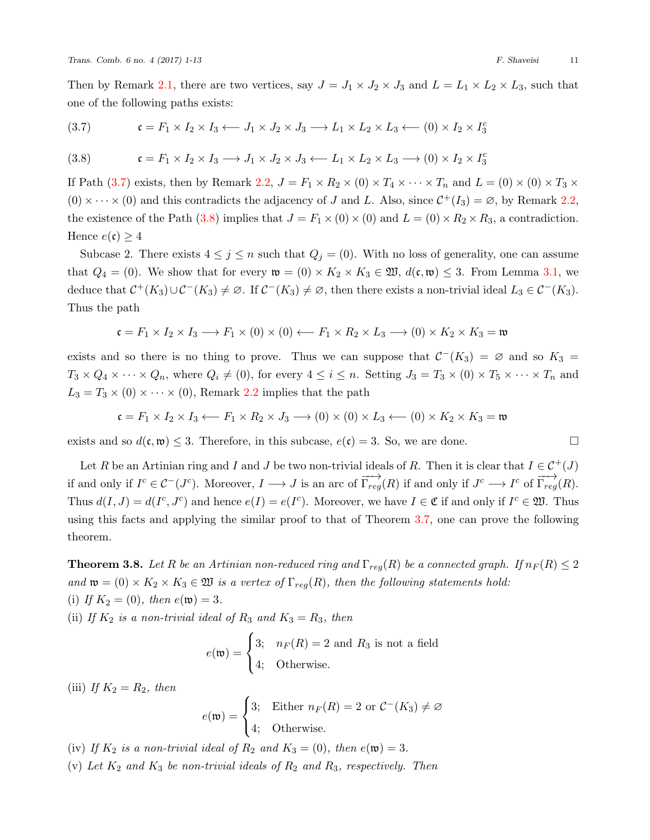Then by Remark [2.1,](#page-1-0) there are two vertices, say  $J = J_1 \times J_2 \times J_3$  and  $L = L_1 \times L_2 \times L_3$ , such that one of the following paths exists:

<span id="page-10-0"></span>c = *F*<sup>1</sup> *× I*<sup>2</sup> *× I*<sup>3</sup> *←− J*<sup>1</sup> *× J*<sup>2</sup> *× J*<sup>3</sup> *−→ L*<sup>1</sup> *× L*<sup>2</sup> *× L*<sup>3</sup> *←−* (0) *× I*<sup>2</sup> *× I c* 3 (3.7)

<span id="page-10-1"></span>(3.8) 
$$
\mathfrak{c} = F_1 \times I_2 \times I_3 \longrightarrow J_1 \times J_2 \times J_3 \longleftarrow L_1 \times L_2 \times L_3 \longrightarrow (0) \times I_2 \times I_3^c
$$

IfPath ([3.7\)](#page-10-0) exists, then by Remark [2.2,](#page-1-1)  $J = F_1 \times R_2 \times (0) \times T_4 \times \cdots \times T_n$  and  $L = (0) \times (0) \times T_3 \times$  $(0) \times \cdots \times (0)$  and this contradicts the adjacency of *J* and *L*. Also, since  $C^+(I_3) = \emptyset$ , by Remark [2.2](#page-1-1), theexistence of the Path ([3.8\)](#page-10-1) implies that  $J = F_1 \times (0) \times (0)$  and  $L = (0) \times R_2 \times R_3$ , a contradiction. Hence  $e(\mathfrak{c}) \geq 4$ 

Subcase 2. There exists  $4 \leq j \leq n$  such that  $Q_j = (0)$ . With no loss of generality, one can assume that  $Q_4 = (0)$ . We show that for every  $\mathfrak{w} = (0) \times K_2 \times K_3 \in \mathfrak{W}$ ,  $d(\mathfrak{c}, \mathfrak{w}) \leq 3$ . From Lemma [3.1,](#page-5-1) we deduce that  $C^+(K_3) \cup C^-(K_3) \neq \emptyset$ . If  $C^-(K_3) \neq \emptyset$ , then there exists a non-trivial ideal  $L_3 \in C^-(K_3)$ . Thus the path

$$
\mathfrak{c} = F_1 \times I_2 \times I_3 \longrightarrow F_1 \times (0) \times (0) \longleftarrow F_1 \times R_2 \times L_3 \longrightarrow (0) \times K_2 \times K_3 = \mathfrak{w}
$$

exists and so there is no thing to prove. Thus we can suppose that  $C<sup>-</sup>(K<sub>3</sub>) = \emptyset$  and so  $K<sub>3</sub> =$  $T_3 \times Q_4 \times \cdots \times Q_n$ , where  $Q_i \neq (0)$ , for every  $4 \leq i \leq n$ . Setting  $J_3 = T_3 \times (0) \times T_5 \times \cdots \times T_n$  and  $L_3 = T_3 \times (0) \times \cdots \times (0)$ , Remark [2.2](#page-1-1) implies that the path

$$
\mathfrak{c} = F_1 \times I_2 \times I_3 \longleftarrow F_1 \times R_2 \times J_3 \longrightarrow (0) \times (0) \times L_3 \longleftarrow (0) \times K_2 \times K_3 = \mathfrak{w}
$$

exists and so  $d(c, \mathfrak{w}) \leq 3$ . Therefore, in this subcase,  $e(c) = 3$ . So, we are done.

Let *R* be an Artinian ring and *I* and *J* be two non-trivial ideals of *R*. Then it is clear that  $I \in C^+(J)$ if and only if  $I^c \in \mathcal{C}^-(J^c)$ . Moreover,  $I \longrightarrow J$  is an arc of  $\overrightarrow{\Gamma_{reg}}(R)$  if and only if  $J^c \longrightarrow I^c$  of  $\overrightarrow{\Gamma_{reg}}(R)$ . Thus  $d(I, J) = d(I^c, J^c)$  and hence  $e(I) = e(I^c)$ . Moreover, we have  $I \in \mathfrak{C}$  if and only if  $I^c \in \mathfrak{W}$ . Thus using this facts and applying the similar proof to that of Theorem [3.7,](#page-6-3) one can prove the following theorem.

<span id="page-10-2"></span>**Theorem 3.8.** *Let R be an Artinian non-reduced ring and*  $\Gamma_{reg}(R)$  *be a connected graph. If*  $n_F(R) \leq 2$ *and*  $\mathfrak{w} = (0) \times K_2 \times K_3 \in \mathfrak{W}$  *is a vertex of*  $\Gamma_{reg}(R)$ *, then the following statements hold:* (i) If  $K_2 = (0)$ *, then*  $e(\mathfrak{w}) = 3$ *.* 

(ii) If  $K_2$  *is a non-trivial ideal of*  $R_3$  *and*  $K_3 = R_3$ *, then* 

$$
e(\mathfrak{w}) = \begin{cases} 3; & n_F(R) = 2 \text{ and } R_3 \text{ is not a field} \\ 4; & \text{Otherwise.} \end{cases}
$$

(iii) *If*  $K_2 = R_2$ *, then* 

$$
e(\mathfrak{w}) = \begin{cases} 3; & \text{Either } n_F(R) = 2 \text{ or } C^-(K_3) \neq \varnothing \\ 4; & \text{Otherwise.} \end{cases}
$$

(iv) *If*  $K_2$  *is a non-trivial ideal of*  $R_2$  *and*  $K_3 = (0)$ *, then*  $e(\mathfrak{w}) = 3$ *.* 

(v) *Let K*<sup>2</sup> *and K*<sup>3</sup> *be non-trivial ideals of R*<sup>2</sup> *and R*3*, respectively. Then*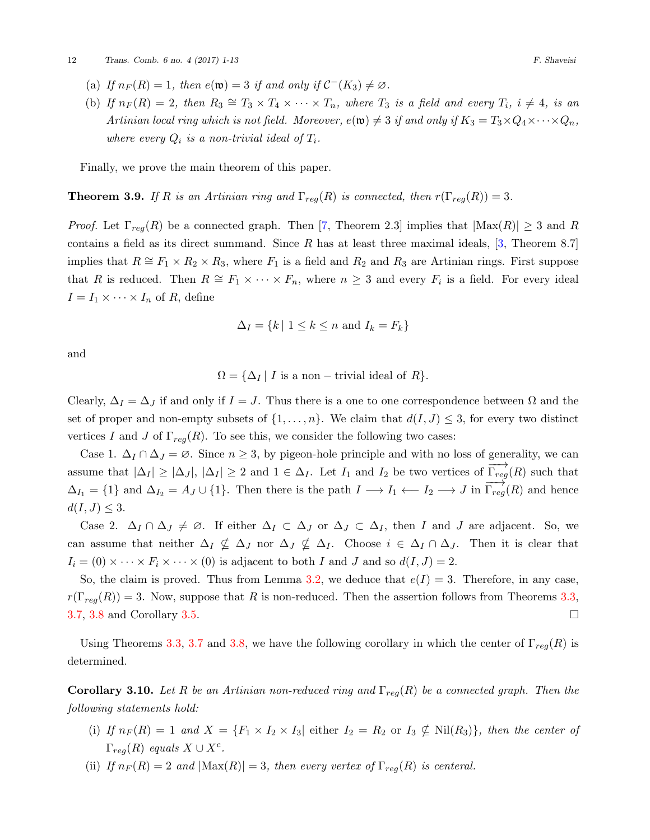- (a) *If*  $n_F(R) = 1$ *, then*  $e(\mathfrak{w}) = 3$  *if and only if*  $C^-(K_3) \neq \emptyset$ *.*
- (b) If  $n_F(R) = 2$ , then  $R_3 \cong T_3 \times T_4 \times \cdots \times T_n$ , where  $T_3$  is a field and every  $T_i$ ,  $i \neq 4$ , is an *Artinian local ring which is not field. Moreover,*  $e(\mathfrak{w}) \neq 3$  *if and only if*  $K_3 = T_3 \times Q_4 \times \cdots \times Q_n$ , *where every*  $Q_i$  *is a non-trivial ideal of*  $T_i$ *.*

Finally, we prove the main theorem of this paper.

**Theorem 3.9.** *If R is an Artinian ring and*  $\Gamma_{req}(R)$  *is connected, then*  $r(\Gamma_{req}(R)) = 3$ *.* 

*Proof.*Let  $\Gamma_{reg}(R)$  be a connected graph. Then [[7,](#page-12-8) Theorem 2.3] implies that  $|\text{Max}(R)| \geq 3$  and R contains a field as its direct summand. Since *R* has at least three maximal ideals,[[3,](#page-12-9) Theorem 8.7] implies that  $R \cong F_1 \times R_2 \times R_3$ , where  $F_1$  is a field and  $R_2$  and  $R_3$  are Artinian rings. First suppose that *R* is reduced. Then  $R \cong F_1 \times \cdots \times F_n$ , where  $n \geq 3$  and every  $F_i$  is a field. For every ideal  $I = I_1 \times \cdots \times I_n$  of *R*, define

$$
\Delta_I = \{ k \mid 1 \le k \le n \text{ and } I_k = F_k \}
$$

and

$$
\Omega = \{ \Delta_I \mid I \text{ is a non-trivial ideal of } R \}.
$$

Clearly,  $\Delta_I = \Delta_J$  if and only if  $I = J$ . Thus there is a one to one correspondence between  $\Omega$  and the set of proper and non-empty subsets of  $\{1, \ldots, n\}$ . We claim that  $d(I, J) \leq 3$ , for every two distinct vertices *I* and *J* of  $\Gamma_{req}(R)$ . To see this, we consider the following two cases:

Case 1.  $\Delta_I \cap \Delta_J = \emptyset$ . Since  $n \geq 3$ , by pigeon-hole principle and with no loss of generality, we can assume that  $|\Delta_I| \geq |\Delta_J|$ ,  $|\Delta_I| \geq 2$  and  $1 \in \Delta_I$ . Let  $I_1$  and  $I_2$  be two vertices of  $\overrightarrow{\Gamma_{reg}}(R)$  such that  $\Delta_{I_1} = \{1\}$  and  $\Delta_{I_2} = A_J \cup \{1\}$ . Then there is the path  $I \longrightarrow I_1 \longleftarrow I_2 \longrightarrow J$  in  $\overrightarrow{\Gamma_{reg}}(R)$  and hence  $d(I, J) \leq 3.$ 

Case 2.  $\Delta_I \cap \Delta_J \neq \emptyset$ . If either  $\Delta_I \subset \Delta_J$  or  $\Delta_J \subset \Delta_I$ , then *I* and *J* are adjacent. So, we can assume that neither  $\Delta_I \nsubseteq \Delta_J$  nor  $\Delta_J \nsubseteq \Delta_I$ . Choose  $i \in \Delta_I \cap \Delta_J$ . Then it is clear that  $I_i = (0) \times \cdots \times F_i \times \cdots \times (0)$  is adjacent to both *I* and *J* and so  $d(I, J) = 2$ .

So, the claim is proved. Thus from Lemma [3.2](#page-5-0), we deduce that  $e(I) = 3$ . Therefore, in any case,  $r(\Gamma_{reg}(R)) = 3$ . Now, suppose that *R* is non-reduced. Then the assertion follows from Theorems [3.3](#page-5-2),  $3.7, 3.8$  $3.7, 3.8$  $3.7, 3.8$  and Corollary  $3.5$ . □

Using Theorems [3.3,](#page-5-2) [3.7](#page-6-3) and [3.8,](#page-10-2) we have the following corollary in which the center of  $\Gamma_{reg}(R)$  is determined.

**Corollary 3.10.** *Let R be an Artinian non-reduced ring and* Γ*reg*(*R*) *be a connected graph. Then the following statements hold:*

- (i) If  $n_F(R) = 1$  and  $X = \{F_1 \times I_2 \times I_3 |$  either  $I_2 = R_2$  or  $I_3 \nsubseteq$  Nil $(R_3)$ , then the center of  $\Gamma_{reg}(R)$  *equals*  $X \cup X^c$ .
- (ii) *If*  $n_F(R) = 2$  *and*  $|\text{Max}(R)| = 3$ *, then every vertex of*  $\Gamma_{req}(R)$  *is centeral.*